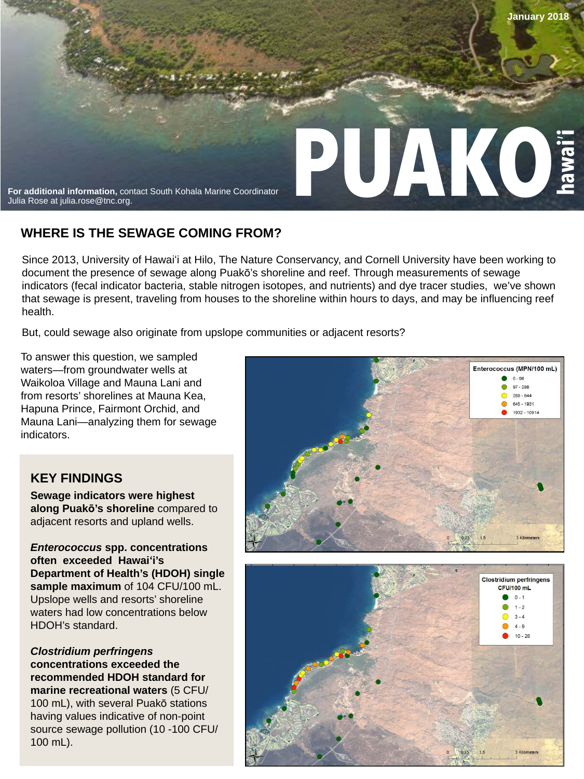

## **WHERE IS THE SEWAGE COMING FROM?**

Since 2013, University of Hawaiʻi at Hilo, The Nature Conservancy, and Cornell University have been working to document the presence of sewage along Puakō's shoreline and reef. Through measurements of sewage indicators (fecal indicator bacteria, stable nitrogen isotopes, and nutrients) and dye tracer studies, we've shown that sewage is present, traveling from houses to the shoreline within hours to days, and may be influencing reef health.

But, could sewage also originate from upslope communities or adjacent resorts?

To answer this question, we sampled waters—from groundwater wells at Waikoloa Village and Mauna Lani and from resorts' shorelines at Mauna Kea, Hapuna Prince, Fairmont Orchid, and Mauna Lani—analyzing them for sewage indicators.

## **KEY FINDINGS**

**Sewage indicators were highest along Puakō's shoreline** compared to adjacent resorts and upland wells.

*Enterococcus* **spp. concentrations often exceeded Hawaiʻi's Department of Health's (HDOH) single sample maximum** of 104 CFU/100 mL. Upslope wells and resorts' shoreline waters had low concentrations below HDOH's standard.

*Clostridium perfringens*  **concentrations exceeded the recommended HDOH standard for marine recreational waters** (5 CFU/ 100 mL), with several Puakō stations having values indicative of non-point source sewage pollution (10 -100 CFU/ 100 mL).